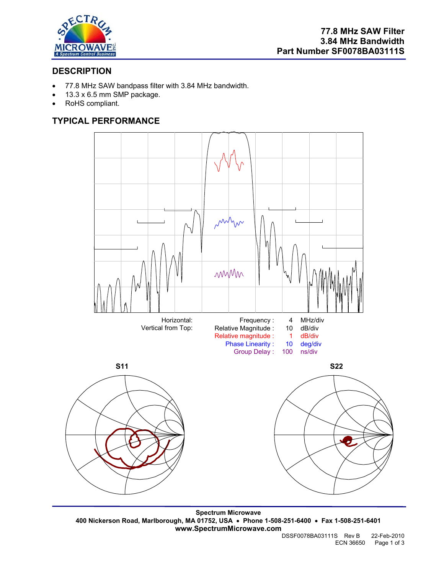

# **DESCRIPTION**

- 77.8 MHz SAW bandpass filter with 3.84 MHz bandwidth.
- 13.3 x 6.5 mm SMP package.
- RoHS compliant.

# **TYPICAL PERFORMANCE**



**Spectrum Microwave 400 Nickerson Road, Marlborough, MA 01752, USA** • **Phone 1-508-251-6400** • **Fax 1-508-251-6401 www.SpectrumMicrowave.com**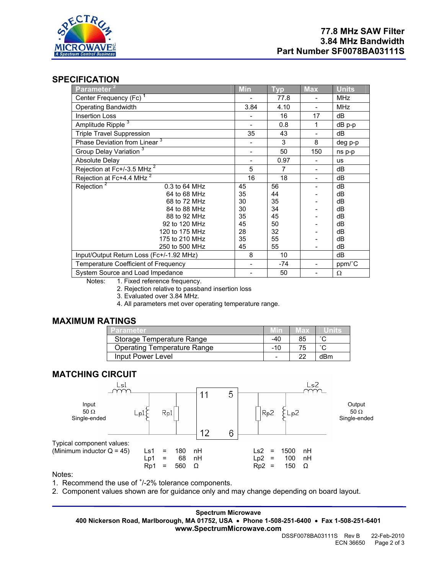

## **SPECIFICATION**

| Parameter <sup>2</sup>                   | <b>Min</b> | <b>Typ</b> | <b>Max</b> | <b>Units</b> |
|------------------------------------------|------------|------------|------------|--------------|
| Center Frequency (Fc) <sup>1</sup>       |            | 77.8       |            | MHz          |
| <b>Operating Bandwidth</b>               | 3.84       | 4.10       |            | <b>MHz</b>   |
| <b>Insertion Loss</b>                    |            | 16         | 17         | dB           |
| Amplitude Ripple <sup>3</sup>            |            | 0.8        | 1          | dB p-p       |
| <b>Triple Travel Suppression</b>         | 35         | 43         |            | dВ           |
| Phase Deviation from Linear <sup>3</sup> |            | 3          | 8          | deg p-p      |
| Group Delay Variation <sup>3</sup>       |            | 50         | 150        | ns p-p       |
| Absolute Delay                           |            | 0.97       |            | <b>us</b>    |
| Rejection at Fc+/-3.5 MHz <sup>2</sup>   | 5          | 7          |            | dВ           |
| Rejection at Fc+4.4 MHz <sup>2</sup>     | 16         | 18         |            | dB           |
| Rejection <sup>2</sup><br>0.3 to 64 MHz  | 45         | 56         |            | dB           |
| 64 to 68 MHz                             | 35         | 44         |            | dB           |
| 68 to 72 MHz                             | 30         | 35         |            | dB           |
| 84 to 88 MHz                             | 30         | 34         |            | dB           |
| 88 to 92 MHz                             | 35         | 45         |            | dB           |
| 92 to 120 MHz                            | 45         | 50         |            | dB           |
| 120 to 175 MHz                           | 28         | 32         |            | dB           |
| 175 to 210 MHz                           | 35         | 55         |            | dВ           |
| 250 to 500 MHz                           | 45         | 55         |            | dВ           |
| Input/Output Return Loss (Fc+/-1.92 MHz) | 8          | 10         |            | dB           |
| Temperature Coefficient of Frequency     |            | $-74$      |            | ppm/°C       |
| System Source and Load Impedance         |            | 50         |            | Ω            |

Notes: 1. Fixed reference frequency.

2. Rejection relative to passband insertion loss

3. Evaluated over 3.84 MHz.

4. All parameters met over operating temperature range.

## **MAXIMUM RATINGS**

| Parameter                          |       | иах |        |
|------------------------------------|-------|-----|--------|
| Storage Temperature Range          | -40   | 85  | $\sim$ |
| <b>Operating Temperature Range</b> | $-10$ | 75  | $\sim$ |
| Input Power Level                  | -     | -22 | dBm    |

### **MATCHING CIRCUIT**



Notes:

1. Recommend the use of  $<sup>+</sup>/-2%$  tolerance components.</sup>

2. Component values shown are for guidance only and may change depending on board layout.

**Spectrum Microwave 400 Nickerson Road, Marlborough, MA 01752, USA** • **Phone 1-508-251-6400** • **Fax 1-508-251-6401 www.SpectrumMicrowave.com**